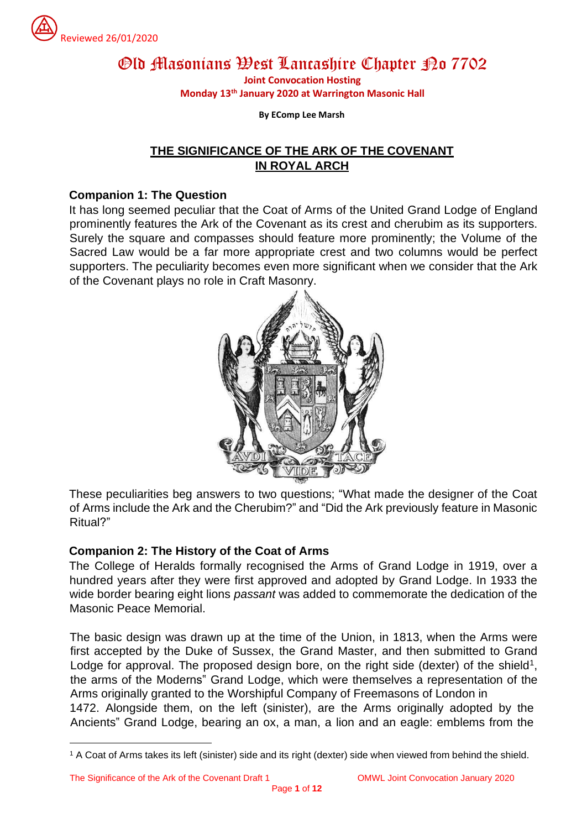

# Old Masonians West Lancashire Chapter Po 7702 **Joint Convocation Hosting**

**Monday 13 th January 2020 at Warrington Masonic Hall**

**By EComp Lee Marsh**

# **THE SIGNIFICANCE OF THE ARK OF THE COVENANT IN ROYAL ARCH**

#### **Companion 1: The Question**

It has long seemed peculiar that the Coat of Arms of the United Grand Lodge of England prominently features the Ark of the Covenant as its crest and cherubim as its supporters. Surely the square and compasses should feature more prominently; the Volume of the Sacred Law would be a far more appropriate crest and two columns would be perfect supporters. The peculiarity becomes even more significant when we consider that the Ark of the Covenant plays no role in Craft Masonry.



These peculiarities beg answers to two questions; "What made the designer of the Coat of Arms include the Ark and the Cherubim?" and "Did the Ark previously feature in Masonic Ritual?"

# **Companion 2: The History of the Coat of Arms**

The College of Heralds formally recognised the Arms of Grand Lodge in 1919, over a hundred years after they were first approved and adopted by Grand Lodge. In 1933 the wide border bearing eight lions *passant* was added to commemorate the dedication of the Masonic Peace Memorial.

The basic design was drawn up at the time of the Union, in 1813, when the Arms were first accepted by the Duke of Sussex, the Grand Master, and then submitted to Grand Lodge for approval. The proposed design bore, on the right side (dexter) of the shield<sup>1</sup>, the arms of the Moderns" Grand Lodge, which were themselves a representation of the Arms originally granted to the Worshipful Company of Freemasons of London in 1472. Alongside them, on the left (sinister), are the Arms originally adopted by the Ancients" Grand Lodge, bearing an ox, a man, a lion and an eagle: emblems from the

<sup>1</sup> A Coat of Arms takes its left (sinister) side and its right (dexter) side when viewed from behind the shield.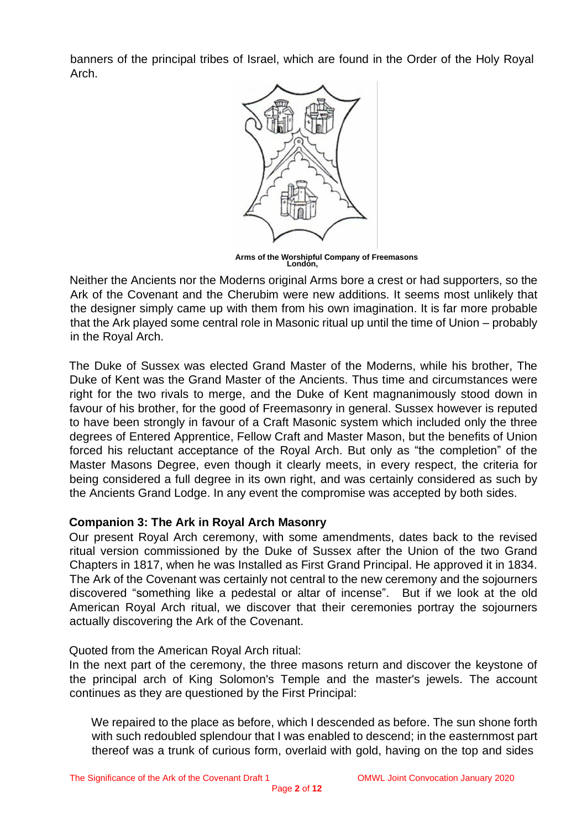banners of the principal tribes of Israel, which are found in the Order of the Holy Royal Arch.



**Arms of the Worshipful Company of Freemasons London,**

Neither the Ancients nor the Moderns original Arms bore a crest or had supporters, so the Ark of the Covenant and the Cherubim were new additions. It seems most unlikely that the designer simply came up with them from his own imagination. It is far more probable that the Ark played some central role in Masonic ritual up until the time of Union – probably in the Royal Arch.

The Duke of Sussex was elected Grand Master of the Moderns, while his brother, The Duke of Kent was the Grand Master of the Ancients. Thus time and circumstances were right for the two rivals to merge, and the Duke of Kent magnanimously stood down in favour of his brother, for the good of Freemasonry in general. Sussex however is reputed to have been strongly in favour of a Craft Masonic system which included only the three degrees of Entered Apprentice, Fellow Craft and Master Mason, but the benefits of Union forced his reluctant acceptance of the Royal Arch. But only as "the completion" of the Master Masons Degree, even though it clearly meets, in every respect, the criteria for being considered a full degree in its own right, and was certainly considered as such by the Ancients Grand Lodge. In any event the compromise was accepted by both sides.

# **Companion 3: The Ark in Royal Arch Masonry**

Our present Royal Arch ceremony, with some amendments, dates back to the revised ritual version commissioned by the Duke of Sussex after the Union of the two Grand Chapters in 1817, when he was Installed as First Grand Principal. He approved it in 1834. The Ark of the Covenant was certainly not central to the new ceremony and the sojourners discovered "something like a pedestal or altar of incense". But if we look at the old American Royal Arch ritual, we discover that their ceremonies portray the sojourners actually discovering the Ark of the Covenant.

# Quoted from the American Royal Arch ritual:

In the next part of the ceremony, the three masons return and discover the keystone of the principal arch of King Solomon's Temple and the master's jewels. The account continues as they are questioned by the First Principal:

We repaired to the place as before, which I descended as before. The sun shone forth with such redoubled splendour that I was enabled to descend; in the easternmost part thereof was a trunk of curious form, overlaid with gold, having on the top and sides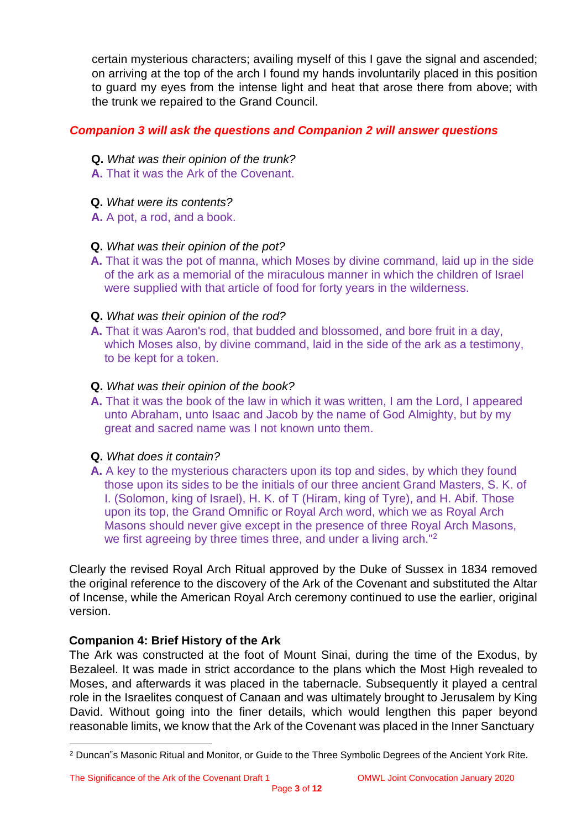certain mysterious characters; availing myself of this I gave the signal and ascended; on arriving at the top of the arch I found my hands involuntarily placed in this position to guard my eyes from the intense light and heat that arose there from above; with the trunk we repaired to the Grand Council.

# *Companion 3 will ask the questions and Companion 2 will answer questions*

- **Q.** *What was their opinion of the trunk?*
- **A.** That it was the Ark of the Covenant.
- **Q.** *What were its contents?*
- **A.** A pot, a rod, and a book.

# **Q.** *What was their opinion of the pot?*

**A.** That it was the pot of manna, which Moses by divine command, laid up in the side of the ark as a memorial of the miraculous manner in which the children of Israel were supplied with that article of food for forty years in the wilderness.

# **Q.** *What was their opinion of the rod?*

**A.** That it was Aaron's rod, that budded and blossomed, and bore fruit in a day, which Moses also, by divine command, laid in the side of the ark as a testimony, to be kept for a token.

#### **Q.** *What was their opinion of the book?*

**A.** That it was the book of the law in which it was written, I am the Lord, I appeared unto Abraham, unto Isaac and Jacob by the name of God Almighty, but by my great and sacred name was I not known unto them.

# **Q.** *What does it contain?*

**A.** A key to the mysterious characters upon its top and sides, by which they found those upon its sides to be the initials of our three ancient Grand Masters, S. K. of I. (Solomon, king of Israel), H. K. of T (Hiram, king of Tyre), and H. Abif. Those upon its top, the Grand Omnific or Royal Arch word, which we as Royal Arch Masons should never give except in the presence of three Royal Arch Masons, we first agreeing by three times three, and under a living arch."<sup>2</sup>

Clearly the revised Royal Arch Ritual approved by the Duke of Sussex in 1834 removed the original reference to the discovery of the Ark of the Covenant and substituted the Altar of Incense, while the American Royal Arch ceremony continued to use the earlier, original version.

# **Companion 4: Brief History of the Ark**

The Ark was constructed at the foot of Mount Sinai, during the time of the Exodus, by Bezaleel. It was made in strict accordance to the plans which the Most High revealed to Moses, and afterwards it was placed in the tabernacle. Subsequently it played a central role in the Israelites conquest of Canaan and was ultimately brought to Jerusalem by King David. Without going into the finer details, which would lengthen this paper beyond reasonable limits, we know that the Ark of the Covenant was placed in the Inner Sanctuary

<sup>2</sup> Duncan"s Masonic Ritual and Monitor, or Guide to the Three Symbolic Degrees of the Ancient York Rite.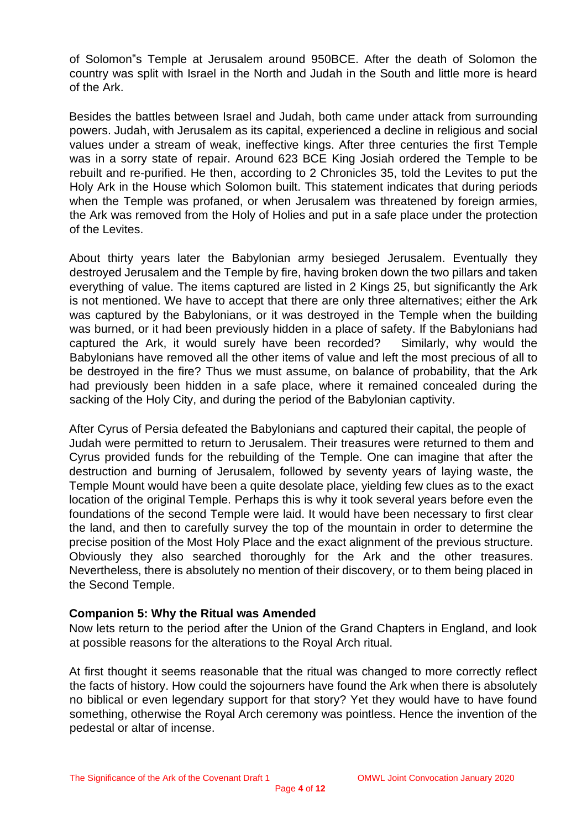of Solomon"s Temple at Jerusalem around 950BCE. After the death of Solomon the country was split with Israel in the North and Judah in the South and little more is heard of the Ark.

Besides the battles between Israel and Judah, both came under attack from surrounding powers. Judah, with Jerusalem as its capital, experienced a decline in religious and social values under a stream of weak, ineffective kings. After three centuries the first Temple was in a sorry state of repair. Around 623 BCE King Josiah ordered the Temple to be rebuilt and re-purified. He then, according to 2 Chronicles 35, told the Levites to put the Holy Ark in the House which Solomon built. This statement indicates that during periods when the Temple was profaned, or when Jerusalem was threatened by foreign armies, the Ark was removed from the Holy of Holies and put in a safe place under the protection of the Levites.

About thirty years later the Babylonian army besieged Jerusalem. Eventually they destroyed Jerusalem and the Temple by fire, having broken down the two pillars and taken everything of value. The items captured are listed in 2 Kings 25, but significantly the Ark is not mentioned. We have to accept that there are only three alternatives; either the Ark was captured by the Babylonians, or it was destroyed in the Temple when the building was burned, or it had been previously hidden in a place of safety. If the Babylonians had captured the Ark, it would surely have been recorded? Similarly, why would the Babylonians have removed all the other items of value and left the most precious of all to be destroyed in the fire? Thus we must assume, on balance of probability, that the Ark had previously been hidden in a safe place, where it remained concealed during the sacking of the Holy City, and during the period of the Babylonian captivity.

After Cyrus of Persia defeated the Babylonians and captured their capital, the people of Judah were permitted to return to Jerusalem. Their treasures were returned to them and Cyrus provided funds for the rebuilding of the Temple. One can imagine that after the destruction and burning of Jerusalem, followed by seventy years of laying waste, the Temple Mount would have been a quite desolate place, yielding few clues as to the exact location of the original Temple. Perhaps this is why it took several years before even the foundations of the second Temple were laid. It would have been necessary to first clear the land, and then to carefully survey the top of the mountain in order to determine the precise position of the Most Holy Place and the exact alignment of the previous structure. Obviously they also searched thoroughly for the Ark and the other treasures. Nevertheless, there is absolutely no mention of their discovery, or to them being placed in the Second Temple.

# **Companion 5: Why the Ritual was Amended**

Now lets return to the period after the Union of the Grand Chapters in England, and look at possible reasons for the alterations to the Royal Arch ritual.

At first thought it seems reasonable that the ritual was changed to more correctly reflect the facts of history. How could the sojourners have found the Ark when there is absolutely no biblical or even legendary support for that story? Yet they would have to have found something, otherwise the Royal Arch ceremony was pointless. Hence the invention of the pedestal or altar of incense.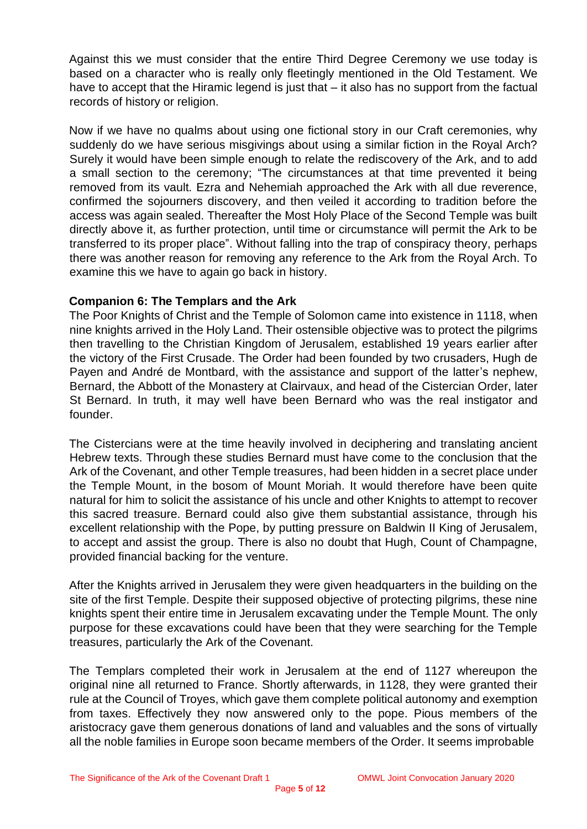Against this we must consider that the entire Third Degree Ceremony we use today is based on a character who is really only fleetingly mentioned in the Old Testament. We have to accept that the Hiramic legend is just that – it also has no support from the factual records of history or religion.

Now if we have no qualms about using one fictional story in our Craft ceremonies, why suddenly do we have serious misgivings about using a similar fiction in the Royal Arch? Surely it would have been simple enough to relate the rediscovery of the Ark, and to add a small section to the ceremony; "The circumstances at that time prevented it being removed from its vault. Ezra and Nehemiah approached the Ark with all due reverence, confirmed the sojourners discovery, and then veiled it according to tradition before the access was again sealed. Thereafter the Most Holy Place of the Second Temple was built directly above it, as further protection, until time or circumstance will permit the Ark to be transferred to its proper place". Without falling into the trap of conspiracy theory, perhaps there was another reason for removing any reference to the Ark from the Royal Arch. To examine this we have to again go back in history.

# **Companion 6: The Templars and the Ark**

The Poor Knights of Christ and the Temple of Solomon came into existence in 1118, when nine knights arrived in the Holy Land. Their ostensible objective was to protect the pilgrims then travelling to the Christian Kingdom of Jerusalem, established 19 years earlier after the victory of the First Crusade. The Order had been founded by two crusaders, Hugh de Payen and André de Montbard, with the assistance and support of the latter's nephew, Bernard, the Abbott of the Monastery at Clairvaux, and head of the Cistercian Order, later St Bernard. In truth, it may well have been Bernard who was the real instigator and founder.

The Cistercians were at the time heavily involved in deciphering and translating ancient Hebrew texts. Through these studies Bernard must have come to the conclusion that the Ark of the Covenant, and other Temple treasures, had been hidden in a secret place under the Temple Mount, in the bosom of Mount Moriah. It would therefore have been quite natural for him to solicit the assistance of his uncle and other Knights to attempt to recover this sacred treasure. Bernard could also give them substantial assistance, through his excellent relationship with the Pope, by putting pressure on Baldwin II King of Jerusalem, to accept and assist the group. There is also no doubt that Hugh, Count of Champagne, provided financial backing for the venture.

After the Knights arrived in Jerusalem they were given headquarters in the building on the site of the first Temple. Despite their supposed objective of protecting pilgrims, these nine knights spent their entire time in Jerusalem excavating under the Temple Mount. The only purpose for these excavations could have been that they were searching for the Temple treasures, particularly the Ark of the Covenant.

The Templars completed their work in Jerusalem at the end of 1127 whereupon the original nine all returned to France. Shortly afterwards, in 1128, they were granted their rule at the Council of Troyes, which gave them complete political autonomy and exemption from taxes. Effectively they now answered only to the pope. Pious members of the aristocracy gave them generous donations of land and valuables and the sons of virtually all the noble families in Europe soon became members of the Order. It seems improbable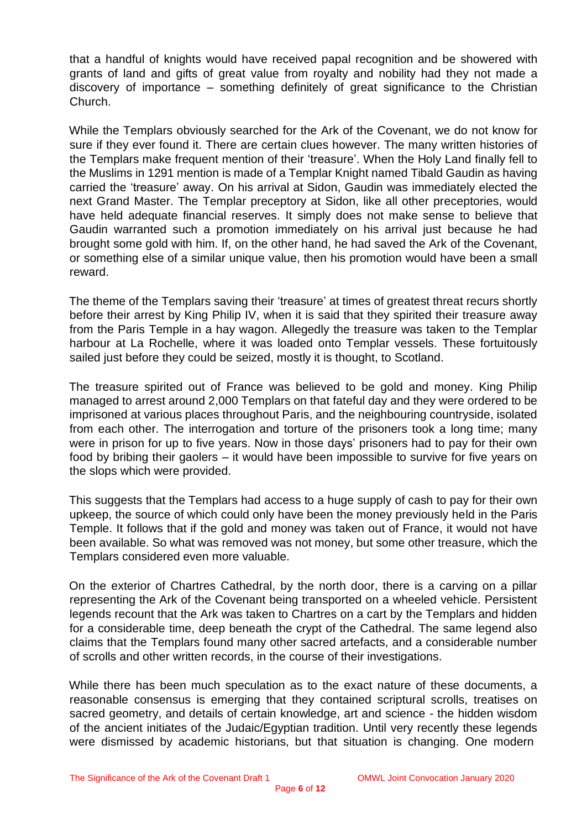that a handful of knights would have received papal recognition and be showered with grants of land and gifts of great value from royalty and nobility had they not made a discovery of importance – something definitely of great significance to the Christian Church.

While the Templars obviously searched for the Ark of the Covenant, we do not know for sure if they ever found it. There are certain clues however. The many written histories of the Templars make frequent mention of their 'treasure'. When the Holy Land finally fell to the Muslims in 1291 mention is made of a Templar Knight named Tibald Gaudin as having carried the 'treasure' away. On his arrival at Sidon, Gaudin was immediately elected the next Grand Master. The Templar preceptory at Sidon, like all other preceptories, would have held adequate financial reserves. It simply does not make sense to believe that Gaudin warranted such a promotion immediately on his arrival just because he had brought some gold with him. If, on the other hand, he had saved the Ark of the Covenant, or something else of a similar unique value, then his promotion would have been a small reward.

The theme of the Templars saving their 'treasure' at times of greatest threat recurs shortly before their arrest by King Philip IV, when it is said that they spirited their treasure away from the Paris Temple in a hay wagon. Allegedly the treasure was taken to the Templar harbour at La Rochelle, where it was loaded onto Templar vessels. These fortuitously sailed just before they could be seized, mostly it is thought, to Scotland.

The treasure spirited out of France was believed to be gold and money. King Philip managed to arrest around 2,000 Templars on that fateful day and they were ordered to be imprisoned at various places throughout Paris, and the neighbouring countryside, isolated from each other. The interrogation and torture of the prisoners took a long time; many were in prison for up to five years. Now in those days' prisoners had to pay for their own food by bribing their gaolers – it would have been impossible to survive for five years on the slops which were provided.

This suggests that the Templars had access to a huge supply of cash to pay for their own upkeep, the source of which could only have been the money previously held in the Paris Temple. It follows that if the gold and money was taken out of France, it would not have been available. So what was removed was not money, but some other treasure, which the Templars considered even more valuable.

On the exterior of Chartres Cathedral, by the north door, there is a carving on a pillar representing the Ark of the Covenant being transported on a wheeled vehicle. Persistent legends recount that the Ark was taken to Chartres on a cart by the Templars and hidden for a considerable time, deep beneath the crypt of the Cathedral. The same legend also claims that the Templars found many other sacred artefacts, and a considerable number of scrolls and other written records, in the course of their investigations.

While there has been much speculation as to the exact nature of these documents, a reasonable consensus is emerging that they contained scriptural scrolls, treatises on sacred geometry, and details of certain knowledge, art and science - the hidden wisdom of the ancient initiates of the Judaic/Egyptian tradition. Until very recently these legends were dismissed by academic historians, but that situation is changing. One modern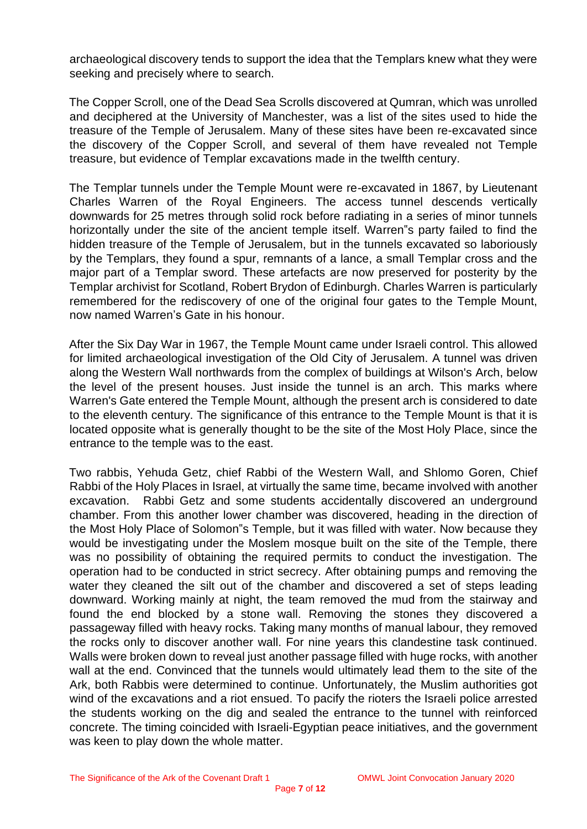archaeological discovery tends to support the idea that the Templars knew what they were seeking and precisely where to search.

The Copper Scroll, one of the Dead Sea Scrolls discovered at Qumran, which was unrolled and deciphered at the University of Manchester, was a list of the sites used to hide the treasure of the Temple of Jerusalem. Many of these sites have been re-excavated since the discovery of the Copper Scroll, and several of them have revealed not Temple treasure, but evidence of Templar excavations made in the twelfth century.

The Templar tunnels under the Temple Mount were re-excavated in 1867, by Lieutenant Charles Warren of the Royal Engineers. The access tunnel descends vertically downwards for 25 metres through solid rock before radiating in a series of minor tunnels horizontally under the site of the ancient temple itself. Warren"s party failed to find the hidden treasure of the Temple of Jerusalem, but in the tunnels excavated so laboriously by the Templars, they found a spur, remnants of a lance, a small Templar cross and the major part of a Templar sword. These artefacts are now preserved for posterity by the Templar archivist for Scotland, Robert Brydon of Edinburgh. Charles Warren is particularly remembered for the rediscovery of one of the original four gates to the Temple Mount, now named Warren's Gate in his honour.

After the Six Day War in 1967, the Temple Mount came under Israeli control. This allowed for limited archaeological investigation of the Old City of Jerusalem. A tunnel was driven along the Western Wall northwards from the complex of buildings at Wilson's Arch, below the level of the present houses. Just inside the tunnel is an arch. This marks where Warren's Gate entered the Temple Mount, although the present arch is considered to date to the eleventh century. The significance of this entrance to the Temple Mount is that it is located opposite what is generally thought to be the site of the Most Holy Place, since the entrance to the temple was to the east.

Two rabbis, Yehuda Getz, chief Rabbi of the Western Wall, and Shlomo Goren, Chief Rabbi of the Holy Places in Israel, at virtually the same time, became involved with another excavation. Rabbi Getz and some students accidentally discovered an underground chamber. From this another lower chamber was discovered, heading in the direction of the Most Holy Place of Solomon"s Temple, but it was filled with water. Now because they would be investigating under the Moslem mosque built on the site of the Temple, there was no possibility of obtaining the required permits to conduct the investigation. The operation had to be conducted in strict secrecy. After obtaining pumps and removing the water they cleaned the silt out of the chamber and discovered a set of steps leading downward. Working mainly at night, the team removed the mud from the stairway and found the end blocked by a stone wall. Removing the stones they discovered a passageway filled with heavy rocks. Taking many months of manual labour, they removed the rocks only to discover another wall. For nine years this clandestine task continued. Walls were broken down to reveal just another passage filled with huge rocks, with another wall at the end. Convinced that the tunnels would ultimately lead them to the site of the Ark, both Rabbis were determined to continue. Unfortunately, the Muslim authorities got wind of the excavations and a riot ensued. To pacify the rioters the Israeli police arrested the students working on the dig and sealed the entrance to the tunnel with reinforced concrete. The timing coincided with Israeli-Egyptian peace initiatives, and the government was keen to play down the whole matter.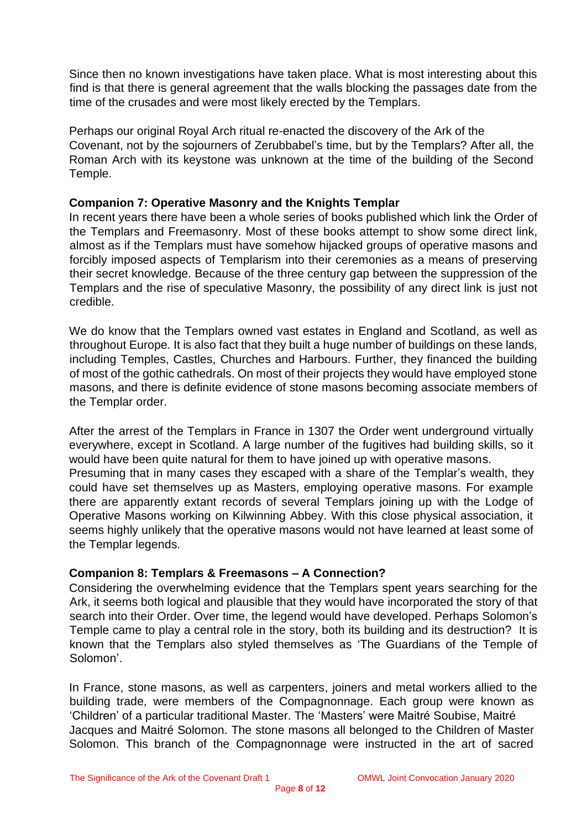Since then no known investigations have taken place. What is most interesting about this find is that there is general agreement that the walls blocking the passages date from the time of the crusades and were most likely erected by the Templars.

Perhaps our original Royal Arch ritual re-enacted the discovery of the Ark of the Covenant, not by the sojourners of Zerubbabel's time, but by the Templars? After all, the Roman Arch with its keystone was unknown at the time of the building of the Second Temple.

# **Companion 7: Operative Masonry and the Knights Templar**

In recent years there have been a whole series of books published which link the Order of the Templars and Freemasonry. Most of these books attempt to show some direct link, almost as if the Templars must have somehow hijacked groups of operative masons and forcibly imposed aspects of Templarism into their ceremonies as a means of preserving their secret knowledge. Because of the three century gap between the suppression of the Templars and the rise of speculative Masonry, the possibility of any direct link is just not credible.

We do know that the Templars owned vast estates in England and Scotland, as well as throughout Europe. It is also fact that they built a huge number of buildings on these lands, including Temples, Castles, Churches and Harbours. Further, they financed the building of most of the gothic cathedrals. On most of their projects they would have employed stone masons, and there is definite evidence of stone masons becoming associate members of the Templar order.

After the arrest of the Templars in France in 1307 the Order went underground virtually everywhere, except in Scotland. A large number of the fugitives had building skills, so it would have been quite natural for them to have joined up with operative masons. Presuming that in many cases they escaped with a share of the Templar's wealth, they could have set themselves up as Masters, employing operative masons. For example there are apparently extant records of several Templars joining up with the Lodge of Operative Masons working on Kilwinning Abbey. With this close physical association, it seems highly unlikely that the operative masons would not have learned at least some of the Templar legends.

# **Companion 8: Templars & Freemasons – A Connection?**

Considering the overwhelming evidence that the Templars spent years searching for the Ark, it seems both logical and plausible that they would have incorporated the story of that search into their Order. Over time, the legend would have developed. Perhaps Solomon's Temple came to play a central role in the story, both its building and its destruction? It is known that the Templars also styled themselves as 'The Guardians of the Temple of Solomon'.

In France, stone masons, as well as carpenters, joiners and metal workers allied to the building trade, were members of the Compagnonnage. Each group were known as 'Children' of a particular traditional Master. The 'Masters' were Maitré Soubise, Maitré Jacques and Maitré Solomon. The stone masons all belonged to the Children of Master Solomon. This branch of the Compagnonnage were instructed in the art of sacred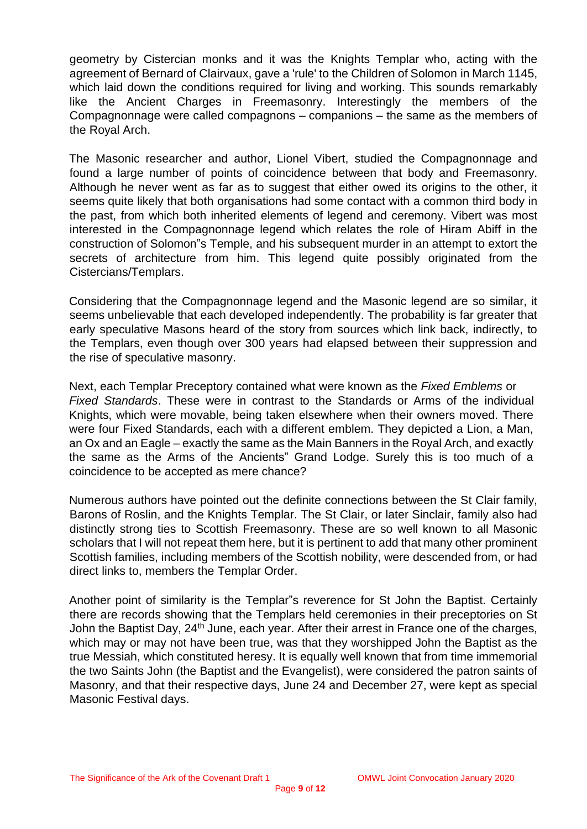geometry by Cistercian monks and it was the Knights Templar who, acting with the agreement of Bernard of Clairvaux, gave a 'rule' to the Children of Solomon in March 1145, which laid down the conditions required for living and working. This sounds remarkably like the Ancient Charges in Freemasonry. Interestingly the members of the Compagnonnage were called compagnons – companions – the same as the members of the Royal Arch.

The Masonic researcher and author, Lionel Vibert, studied the Compagnonnage and found a large number of points of coincidence between that body and Freemasonry. Although he never went as far as to suggest that either owed its origins to the other, it seems quite likely that both organisations had some contact with a common third body in the past, from which both inherited elements of legend and ceremony. Vibert was most interested in the Compagnonnage legend which relates the role of Hiram Abiff in the construction of Solomon"s Temple, and his subsequent murder in an attempt to extort the secrets of architecture from him. This legend quite possibly originated from the Cistercians/Templars.

Considering that the Compagnonnage legend and the Masonic legend are so similar, it seems unbelievable that each developed independently. The probability is far greater that early speculative Masons heard of the story from sources which link back, indirectly, to the Templars, even though over 300 years had elapsed between their suppression and the rise of speculative masonry.

Next, each Templar Preceptory contained what were known as the *Fixed Emblems* or *Fixed Standards*. These were in contrast to the Standards or Arms of the individual Knights, which were movable, being taken elsewhere when their owners moved. There were four Fixed Standards, each with a different emblem. They depicted a Lion, a Man, an Ox and an Eagle – exactly the same as the Main Banners in the Royal Arch, and exactly the same as the Arms of the Ancients" Grand Lodge. Surely this is too much of a coincidence to be accepted as mere chance?

Numerous authors have pointed out the definite connections between the St Clair family, Barons of Roslin, and the Knights Templar. The St Clair, or later Sinclair, family also had distinctly strong ties to Scottish Freemasonry. These are so well known to all Masonic scholars that I will not repeat them here, but it is pertinent to add that many other prominent Scottish families, including members of the Scottish nobility, were descended from, or had direct links to, members the Templar Order.

Another point of similarity is the Templar"s reverence for St John the Baptist. Certainly there are records showing that the Templars held ceremonies in their preceptories on St John the Baptist Day, 24<sup>th</sup> June, each year. After their arrest in France one of the charges, which may or may not have been true, was that they worshipped John the Baptist as the true Messiah, which constituted heresy. It is equally well known that from time immemorial the two Saints John (the Baptist and the Evangelist), were considered the patron saints of Masonry, and that their respective days, June 24 and December 27, were kept as special Masonic Festival days.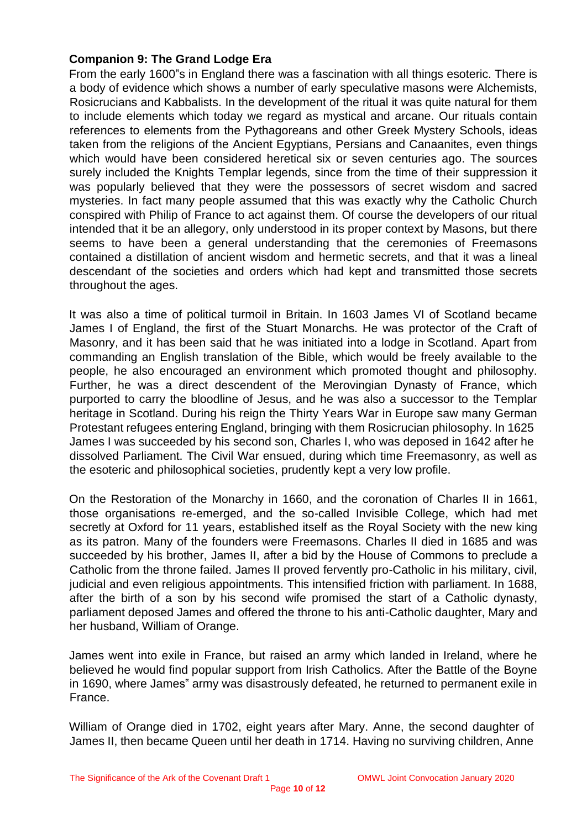# **Companion 9: The Grand Lodge Era**

From the early 1600"s in England there was a fascination with all things esoteric. There is a body of evidence which shows a number of early speculative masons were Alchemists, Rosicrucians and Kabbalists. In the development of the ritual it was quite natural for them to include elements which today we regard as mystical and arcane. Our rituals contain references to elements from the Pythagoreans and other Greek Mystery Schools, ideas taken from the religions of the Ancient Egyptians, Persians and Canaanites, even things which would have been considered heretical six or seven centuries ago. The sources surely included the Knights Templar legends, since from the time of their suppression it was popularly believed that they were the possessors of secret wisdom and sacred mysteries. In fact many people assumed that this was exactly why the Catholic Church conspired with Philip of France to act against them. Of course the developers of our ritual intended that it be an allegory, only understood in its proper context by Masons, but there seems to have been a general understanding that the ceremonies of Freemasons contained a distillation of ancient wisdom and hermetic secrets, and that it was a lineal descendant of the societies and orders which had kept and transmitted those secrets throughout the ages.

It was also a time of political turmoil in Britain. In 1603 James VI of Scotland became James I of England, the first of the Stuart Monarchs. He was protector of the Craft of Masonry, and it has been said that he was initiated into a lodge in Scotland. Apart from commanding an English translation of the Bible, which would be freely available to the people, he also encouraged an environment which promoted thought and philosophy. Further, he was a direct descendent of the Merovingian Dynasty of France, which purported to carry the bloodline of Jesus, and he was also a successor to the Templar heritage in Scotland. During his reign the Thirty Years War in Europe saw many German Protestant refugees entering England, bringing with them Rosicrucian philosophy. In 1625 James I was succeeded by his second son, Charles I, who was deposed in 1642 after he dissolved Parliament. The Civil War ensued, during which time Freemasonry, as well as the esoteric and philosophical societies, prudently kept a very low profile.

On the Restoration of the Monarchy in 1660, and the coronation of Charles II in 1661, those organisations re-emerged, and the so-called Invisible College, which had met secretly at Oxford for 11 years, established itself as the Royal Society with the new king as its patron. Many of the founders were Freemasons. Charles II died in 1685 and was succeeded by his brother, James II, after a bid by the House of Commons to preclude a Catholic from the throne failed. James II proved fervently pro-Catholic in his military, civil, judicial and even religious appointments. This intensified friction with parliament. In 1688, after the birth of a son by his second wife promised the start of a Catholic dynasty, parliament deposed James and offered the throne to his anti-Catholic daughter, Mary and her husband, William of Orange.

James went into exile in France, but raised an army which landed in Ireland, where he believed he would find popular support from Irish Catholics. After the Battle of the Boyne in 1690, where James" army was disastrously defeated, he returned to permanent exile in France.

William of Orange died in 1702, eight years after Mary. Anne, the second daughter of James II, then became Queen until her death in 1714. Having no surviving children, Anne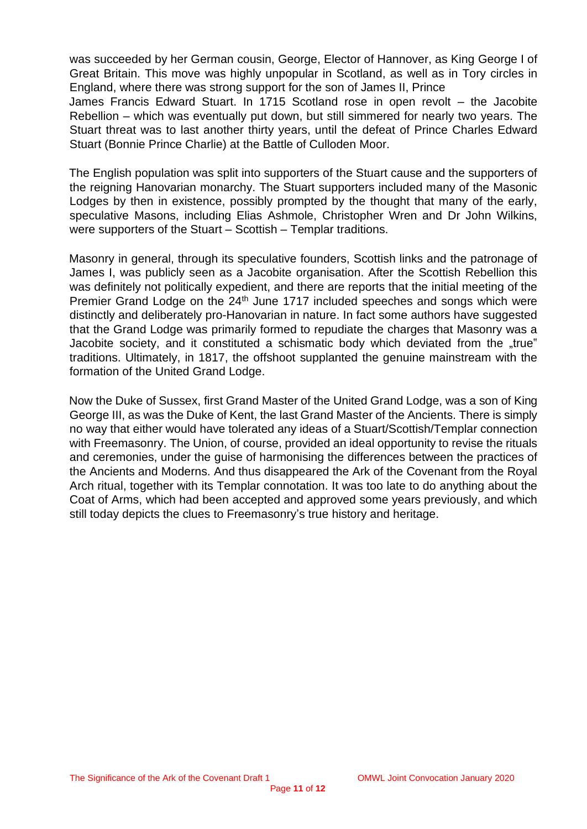was succeeded by her German cousin, George, Elector of Hannover, as King George I of Great Britain. This move was highly unpopular in Scotland, as well as in Tory circles in England, where there was strong support for the son of James II, Prince

James Francis Edward Stuart. In 1715 Scotland rose in open revolt – the Jacobite Rebellion – which was eventually put down, but still simmered for nearly two years. The Stuart threat was to last another thirty years, until the defeat of Prince Charles Edward Stuart (Bonnie Prince Charlie) at the Battle of Culloden Moor.

The English population was split into supporters of the Stuart cause and the supporters of the reigning Hanovarian monarchy. The Stuart supporters included many of the Masonic Lodges by then in existence, possibly prompted by the thought that many of the early, speculative Masons, including Elias Ashmole, Christopher Wren and Dr John Wilkins, were supporters of the Stuart – Scottish – Templar traditions.

Masonry in general, through its speculative founders, Scottish links and the patronage of James I, was publicly seen as a Jacobite organisation. After the Scottish Rebellion this was definitely not politically expedient, and there are reports that the initial meeting of the Premier Grand Lodge on the 24<sup>th</sup> June 1717 included speeches and songs which were distinctly and deliberately pro-Hanovarian in nature. In fact some authors have suggested that the Grand Lodge was primarily formed to repudiate the charges that Masonry was a Jacobite society, and it constituted a schismatic body which deviated from the "true" traditions. Ultimately, in 1817, the offshoot supplanted the genuine mainstream with the formation of the United Grand Lodge.

Now the Duke of Sussex, first Grand Master of the United Grand Lodge, was a son of King George III, as was the Duke of Kent, the last Grand Master of the Ancients. There is simply no way that either would have tolerated any ideas of a Stuart/Scottish/Templar connection with Freemasonry. The Union, of course, provided an ideal opportunity to revise the rituals and ceremonies, under the guise of harmonising the differences between the practices of the Ancients and Moderns. And thus disappeared the Ark of the Covenant from the Royal Arch ritual, together with its Templar connotation. It was too late to do anything about the Coat of Arms, which had been accepted and approved some years previously, and which still today depicts the clues to Freemasonry's true history and heritage.